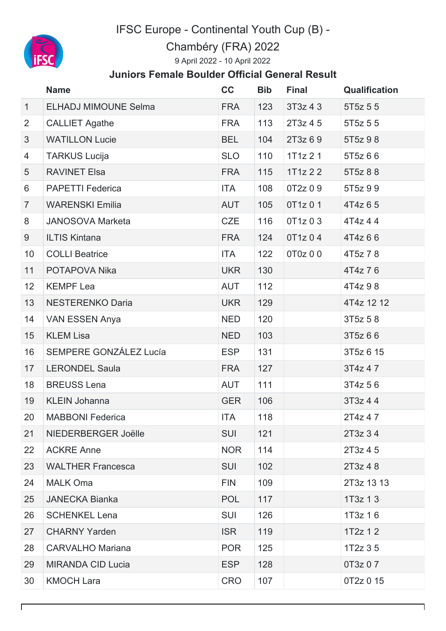

IFSC Europe - Continental Youth Cup (B) -

Chambéry (FRA) 2022

9 April 2022 - 10 April 2022

## **Juniors Female Boulder Official General Result**

|                | <b>Name</b>                 | cc         | <b>Bib</b> | <b>Final</b> | <b>Qualification</b>  |
|----------------|-----------------------------|------------|------------|--------------|-----------------------|
| $\mathbf{1}$   | <b>ELHADJ MIMOUNE Selma</b> | <b>FRA</b> | 123        | 3T3z43       | 5T <sub>5</sub> z 5 5 |
| $\overline{2}$ | <b>CALLIET Agathe</b>       | <b>FRA</b> | 113        | 2T3z45       | 5T <sub>5</sub> z 5 5 |
| 3              | <b>WATILLON Lucie</b>       | <b>BEL</b> | 104        | 2T3z 69      | 5T5z 98               |
| 4              | <b>TARKUS Lucija</b>        | <b>SLO</b> | 110        | 1T1z21       | 5T5z 6 6              |
| 5              | <b>RAVINET Elsa</b>         | <b>FRA</b> | 115        | 1T1z22       | 5T5z 8 8              |
| 6              | <b>PAPETTI Federica</b>     | <b>ITA</b> | 108        | 0T2z 0 9     | 5T5z 99               |
| $\overline{7}$ | <b>WARENSKI Emilia</b>      | <b>AUT</b> | 105        | 0T1z 0 1     | 4T4z 65               |
| 8              | <b>JANOSOVA Marketa</b>     | <b>CZE</b> | 116        | 0T1z 0 3     | 4T4z 44               |
| 9              | <b>ILTIS Kintana</b>        | <b>FRA</b> | 124        | 0T1z 0 4     | 4T4z 6 6              |
| 10             | <b>COLLI Beatrice</b>       | <b>ITA</b> | 122        | 0T0z 0 0     | 4T5z 78               |
| 11             | POTAPOVA Nika               | <b>UKR</b> | 130        |              | 4T4z 76               |
| 12             | <b>KEMPF Lea</b>            | <b>AUT</b> | 112        |              | 4T4z 98               |
| 13             | <b>NESTERENKO Daria</b>     | <b>UKR</b> | 129        |              | 4T4z 12 12            |
| 14             | <b>VAN ESSEN Anya</b>       | <b>NED</b> | 120        |              | 3T5z 58               |
| 15             | <b>KLEM Lisa</b>            | <b>NED</b> | 103        |              | 3T5z 66               |
| 16             | SEMPERE GONZÁLEZ Lucía      | <b>ESP</b> | 131        |              | 3T5z 6 15             |
| 17             | <b>LERONDEL Saula</b>       | <b>FRA</b> | 127        |              | 3T4z 47               |
| 18             | <b>BREUSS Lena</b>          | <b>AUT</b> | 111        |              | 3T4z 56               |
| 19             | <b>KLEIN Johanna</b>        | <b>GER</b> | 106        |              | 3T3z 44               |
| 20             | <b>MABBONI Federica</b>     | ITA        | 118        |              | 2T4z 4 7              |
| 21             | NIEDERBERGER Joëlle         | <b>SUI</b> | 121        |              | 2T3z 34               |
| 22             | <b>ACKRE Anne</b>           | <b>NOR</b> | 114        |              | 2T3z 4 5              |
| 23             | <b>WALTHER Francesca</b>    | <b>SUI</b> | 102        |              | 2T3z 48               |
| 24             | <b>MALK Oma</b>             | <b>FIN</b> | 109        |              | 2T3z 13 13            |
| 25             | <b>JANECKA Bianka</b>       | <b>POL</b> | 117        |              | $1T3z$ 1 3            |
| 26             | <b>SCHENKEL Lena</b>        | <b>SUI</b> | 126        |              | 1T3z 16               |
| 27             | <b>CHARNY Yarden</b>        | <b>ISR</b> | 119        |              | $1T2z$ 1 2            |
| 28             | <b>CARVALHO Mariana</b>     | <b>POR</b> | 125        |              | 1T <sub>2</sub> z 3 5 |
| 29             | <b>MIRANDA CID Lucia</b>    | <b>ESP</b> | 128        |              | 0T3z 0 7              |
| 30             | <b>KMOCH Lara</b>           | <b>CRO</b> | 107        |              | 0T2z 0 15             |

٦